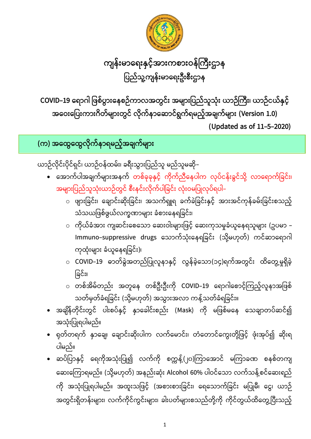• ဆပ်ပြာနှင့် ရေကိုအသုံးပြု၍ လက်ကို စက္ကန့်(၂၀)ကြာအောင် မကြာခဏ စနစ်တကျ ဆေးကြောရမည်။ (သို့မဟုတ်) အနည်းဆုံး Alcohol 60% ပါဝင်သော လက်သန့်စင်ဆေးရည် ကို အသုံးပြုရပါမည်။ အထူးသဖြင့် (အစားစားခြင်း၊ ရေသောက်ခြင်း မပြုမီ၊ ငွေ၊ ယာဉ် အတွင်းရှိတန်းများ၊ လက်ကိုင်ကွင်းများ၊ ခါးပတ်များစသည်တို့ကို ကိုင်တွယ်ထိတွေ့ပြီးသည့်

- အသုံးပြုရပါမည်။ • ရုတ်တရက် နှာချေ၊ ချောင်းဆိုးပါက လက်မောင်း၊ တံတောင်ကွေးတို့ဖြင့် ဖုံးအုပ်၍ ဆိုးရ ပါမည်။
- သတ်မှတ်ခံရခြင်း (သို့မဟုတ်) အသွားအလာ ကန့်သတ်ခံရခြင်း။ • အချိန်တိုင်းတွင် ပါးစပ်နှင့် နှာခေါင်းစည်း (Mask) ကို မဖြစ်မနေ သေချာတပ်ဆင်၍
- ခြင်း၊ l ○ တစ်အိမ်တည်း အတူနေ တစ်ဦးဦးကို COVID−19 ရောဂါစောင့်ကြည့်လူနာအဖြစ်
- ကုထုံးများ ခံယူနေရခြင်း)၊ ○ COVID−19 ဓာတ်ခွဲအတည်ပြုလူနာနှင့် လွန်ခဲ့သော(၁၄)ရက်အတွင်း ထိတွေ့မှုရှိခဲ့
- သံသယဖြစ်ဖွယ်လက္ခဏာများ ခံစားနေရခြင်း၊ <sub>ဝ</sub> ကိုယ်ခံအား ကျဆင်းစေသော ဆေးဝါးများဖြင့် ဆေးကုသမှုခံယူနေရသူများ (ဥပမာ − Immuno–suppressive drugs သောက်သုံးနေရခြင်း (သို့မဟုတ်) ကင်ဆာရောဂါ
- အများပြည်သူသုံးယာဉ်တွင် စီးနင်းလိုက်ပါခြင်း လုံးဝမပြုလုပ်ရပါ– ○ ဖျားခြင်း၊ ချောင်းဆိုးခြင်း၊ အသက်ရှူရ ခက်ခဲခြင်းနှင့် အားအင်ကုန်ခမ်းခြင်းစသည့်
- ယာဉ်လိုင်းပိုင်ရှင်၊ ယာဉ်ဝန်ထမ်း၊ ခရီးသွားပြည်သူ မည်သူမဆို– • အောက်ပါအချက်များအနက် တစ်ခုခုနှင့် ကိုက်ညီနေပါက လုပ်ငန်းခွင်သို့ လာရောက်ခြင်း၊

**( ) ထ ထ** 

**COVID-19 (Version 1.0) (Updated as of 11-5-2020)**

ကျန်းမာရေးနှင့်အားကစားဝန်ကြီးဌာန ပြည်သူ့ကျန်းမာရေးဦးစီးဌာန 

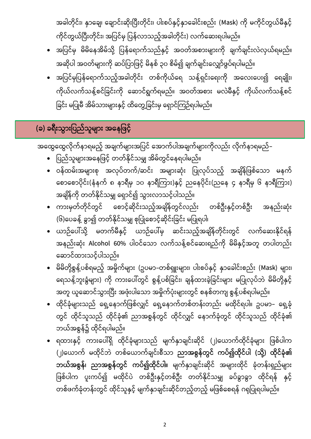အခါတိုင်း၊ နှာချေ၊ ချောင်းဆိုးပြီးတိုင်း၊ ပါးစပ်နှင့်နာခေါင်းစည်း (Mask) ကို မကိုင်တွယ်မီနှင့်

- အပြင်မှ မိမိနေအိမ်သို့ ပြန်ရောက်သည်နှင့် အဝတ်အစားများကို ချက်ချင်းလဲလှယ်ရမည်။ အဆိုပါ အဝတ်များကို ဆပ်ပြာဖြင့် မိနစ် ၃၀ စိမ်၍ ချက်ချင်းလျှော်ဖွပ်ရပါမည်။
- အပြင်မှပြန်ရောက်သည့်အခါတိုင်း တစ်ကိုယ်ရေ သန့်ရှင်းရေးကို အလေးပေး၍ ရေချိုး၊ ကိုယ်လက်သန့်စင်ခြင်းကို ဆောင်ရွက်ရမည်။ အဝတ်အစား မလဲမီနှင့် ကိုယ်လက်သန့်စင် ခြင်း မပြုမီ အိမ်သားများနှင့် ထိတွေ့ခြင်းမှ ရှောင်ကြဉ်ရပါမည်။
- 
- ကိုင်တွယ်ပြီးတိုင်း၊ အပြင်မှ ပြန်လာသည့်အခါတိုင်း) လက်ဆေးရပါမည်။

• ဝန်ထမ်းအများစု အလုပ်တက်/ဆင်း အများဆုံး ပြုလုပ်သည့် အချိန်ဖြစ်သော မနက်

• ပြည်သူများအနေဖြင့် တတ်နိုင်သမျှ အိမ်တွင်နေရပါမည်။

**( ) ခရီးသွားြြည်သူများ အေေြြင့်**

အထွေထွေလိုက်နာရမည့် အချက်များအပြင် အောက်ပါအချက်များကိုလည်း လိုက်နာရမည်–

- စောစောပိုင်း(နံနက် ၈ နာရီမှ ၁၀ နာရီကြား)နှင့် ညနေပိုင်း(ညနေ ၄ နာရီမှ ၆ နာရီကြား) အချိန်ကို တတ်နိုင်သမျှ ရှောင်၍ သွားလာသင့်ပါသည်။
- ကားမှတ်တိုင်တွင် စောင့်ဆိုင်းသည့်အချိန်တွင်လည်း တစ်ဦးနှင့်တစ်ဦး အနည်းဆုံး (၆)ပေခန့် ခွာ၍ တတ်နိုင်သမျှ စုပြုံစောင့်ဆိုင်းခြင်း မပြုရပါ၊
- ယာဉ်ပေါ်သို့ မတက်မီနှင့် ယာဉ်ပေါ်မှ ဆင်းသည့်အချိန်တိုင်းတွင် လက်ဆေးနိုင်ရန် အနည်းဆုံး Alcohol 60% ပါဝင်သော လက်သန့်စင်ဆေးရည်ကို မိမိနှင့်အတူ တပါတည်း ဆောင်ထားသင့်ပါသည်။
- မိမိတို့စွန့်ပစ်ရမည့် အမှိုက်များ (ဥပမာ–တစ်ရှူးများ၊ ပါးစပ်နှင့် နှာခေါင်းစည်း (Mask) များ၊ ရေသန့်ဘူးခွံများ) ကို ကားပေါ်တွင် စွန့်ပစ်ခြင်း၊ ချန်ထားခဲ့ခြင်းများ မပြုလုပ်ဘဲ မိမိတို့နှင့် အတူ ယူဆောင်သွားပြီး အဖုံးပါသော အမှိုက်ပုံးများတွင် စနစ်တကျ စွန့်ပစ်ရပါမည်။
- ထိုင်ခုံများသည် ရှေ့နောက်ဖြစ်လျှင် ရှေ့နောက်တစ်တန်းတည်း မထိုင်ရပါ။ ဥပမာ– ရှေ့ခုံ တွင် ထိုင်သူသည် ထိုင်ခုံ၏ ညာအစွန်တွင် ထိုင်လျှင် နောက်ခုံတွင် ထိုင်သူသည် ထိုင်ခုံ၏ ဘယ်အစွန်၌ ထိုင်ရပါမည်။
- ရထားနှင့် ကားပေါ်ရှိ ထိုင်ခုံများသည် မျက်နှာချင်းဆိုင် (၂)ယောက်ထိုင်ခုံများ ဖြစ်ပါက (၂)ယောက် မထိုင်ဘဲ တစ်ယောက်ချင်းစီသာ <mark>ညာအစွန်တွင် ကပ်၍ထိုင်ပါ (သို့) ထိုင်ခုံ၏</mark> **ဘယ်အစွန်၊ ညာအစွန်တွင် ကပ်၍ထိုင်ပါ။** မျက်နှာချင်းဆိုင် အများထိုင် ခုံတန်းရှည်များ ဖြစ်ပါက ပူးကပ်၍ မထိုင်ပဲ တစ်ဦးနှင့်တစ်ဦး တတ်နိုင်သမျှ ခပ်ခွာခွာ ထိုင်ရန် နှင့် တစ်ဖက်ခုံတန်းတွင် ထိုင်သူနှင့် မျက်နှာချင်းဆိုင်တည့်တည့် မဖြစ်စေရန် ဂရုပြုရပါမည်။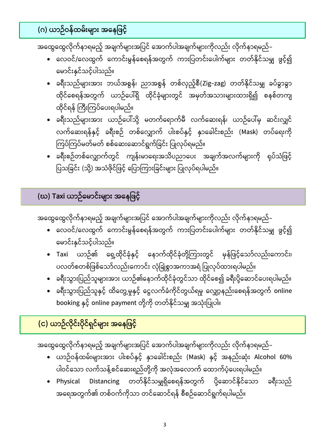## **( ) ယာဉ်ဝေ်ထမ်းများ အေေြြင့်**

အထွေထွေလိုက်နာရမည့် အချက်များအပြင် အောက်ပါအချက်များကိုလည်း လိုက်နာရမည်–

- လေဝင်/လေထွက် ကောင်းမွန်စေရန်အတွက် ကားပြတင်းပေါက်များ တတ်နိုင်သမျှ ဖွင့်၍ မောင်းနှင်သင့်ပါသည်။
- ခရီးသည်များအား ဘယ်အစွန်၊ ညာအစွန် တစ်လှည့်စီ(Zig–zag) တတ်နိုင်သမျှ ခပ်ခွာခွာ ထိုင်စေရန်အတွက် ယာဉ်ပေါ်ရှိ ထိုင်ခုံများတွင် အမှတ်အသားများထားရှိ၍ စနစ်တကျ ထိုင်ရန် ကြီးကြပ်ပေးရပါမည်။
- ခရီးသည်များအား ယာဉ်ပေါ်သို့ မတက်ရောက်မီ လက်ဆေးရန်၊ ယာဉ်ပေါ်မှ ဆင်းလျှင် လက်ဆေးရန်နှင့် ခရီးစဉ် တစ်လျှောက် ပါးစပ်နှင့် နှာခေါင်းစည်း (Mask) တပ်ရေးကို ကြပ်ကြပ်မတ်မတ် စစ်ဆေးဆောင်ရွက်ခြင်း ပြုလုပ်ရမည်။
- ခရီးစဉ်တစ်လျှောက်တွင် ကျန်းမာရေးအသိပညာပေး အချက်အလက်များကို ရုပ်သံဖြင့် ပြသခြင်း (သို့) အသံဖိုင်ဖြင့် ပြောကြားခြင်းများ ပြုလုပ်ရပါမည်။

**(ဃ) Taxi** 

အထွေထွေလိုက်နာရမည့် အချက်များအပြင် အောက်ပါအချက်များကိုလည်း လိုက်နာရမည်–

- လေဝင်/လေထွက် ကောင်းမွန်စေရန်အတွက် ကားပြတင်းပေါက်များ တတ်နိုင်သမျှ ဖွင့်၍ မောင်းနှင်သင့်ပါသည်။
- Taxi ယာဉ်၏ ရှေ့ထိုင်ခုံနှင့် နောက်ထိုင်ခုံတို့ကြားတွင် မှန်ဖြင့်သော်လည်းကောင်း၊ ပလတ်စတစ်ဖြစ်သော်လည်းကောင်း လုံခြုံစွာအကာအရံ ပြုလုပ်ထားရပါမည်။
- ခရီးသွားပြည်သူများအား ယာဉ်၏နောက်ထိုင်ခုံတွင်သာ ထိုင်စေ၍ ခရီးပို့ဆောင်ပေးရပါမည်။
- ခရီးသွားပြည်သူနှင့် ထိတွေ့မှုနှင့် ငွေလက်ခံကိုင်တွယ်ရမှု လျှော့နည်းစေရန်အတွက် online booking နှင့် online payment တို့ကို တတ်နိုင်သမျှ အသုံးပြုပါ။

**( ) ယာဉ်လိုင်းြိုင်ရှင်များ အေေြြင့်**

အထွေထွေလိုက်နာရမည့် အချက်များအပြင် အောက်ပါအချက်များကိုလည်း လိုက်နာရမည်–

- ယာဉ်ဝန်ထမ်းများအား ပါးစပ်နှင့် နှာခေါင်းစည်း (Mask) နှင့် အနည်းဆုံး Alcohol 60% ပါဝင်သော လက်သန့်စင်ဆေးရည်တို့ကို အလုံအလောက် ထောက်ပံ့ပေးရပါမည်။
- Physical Distancing တတ်နိုင်သမျှရှိစေရန်အတွက် ပို့ဆောင်နိုင်သော ခရီးသည် အရေအတွက်၏ တစ်ဝက်ကိုသာ တင်ဆောင်ရန် စီစဉ်ဆောင်ရွက်ရပါမည်။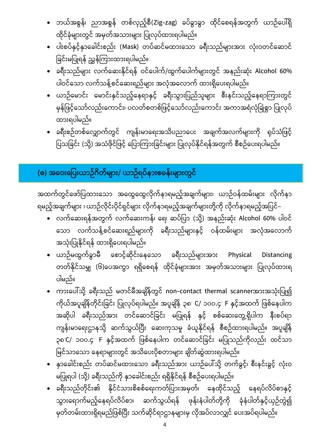- ဘယ်အစွန်၊ ညာအစွန် တစ်လှည့်စီ(Zig–zag) ခပ်ခွာခွာ ထိုင်စေရန်အတွက် ယာဉ်ပေါ်ရှိ ထိုင်ခုံများတွင် အမှတ်အသားများ ပြုလုပ်ထားရပါမည်။
- ပါးစပ်နှင့်နှာခေါင်းစည်း (Mask) တပ်ဆင်မထားသော ခရီးသည်များအား လုံးဝတင်ဆောင် ခြင်းမပြုရန် ညွှန်ကြားထားရပါမည်။
- $\bullet$  ခရီးသည်များ လက်ဆေးနိုင်ရန် ဝင်ပေါက်/ထွက်ပေါက်များတွင် အနည်းဆုံး Alcohol 60% ပါဝင်သော လက်သန့်စင်ဆေးရည်များ အလုံအလောက် ထားရှိပေးရပါမည်။
- ယာဉ်မောင်း မောင်းနှင်သည့်နေရာနှင့် ခရီးသွားပြည်သူများ စီးနင်းသည့်နေရာကြားတွင် မှန်ဖြင့်သော်လည်းကောင်း၊ ပလတ်စတစ်ဖြင့်သော်လည်းကောင်း အကာအရံလုံခြုံစွာ ပြုလုပ် ထားရပါမည်။
- ခရီးစဉ်တစ်လျှောက်တွင် ကျန်းမာရေးအသိပညာပေး အချက်အလက်များကို ရုပ်သံဖြင့် ပြသခြင်း (သို့) အသံဖိုင်ဖြင့် ပြောကြားခြင်းများ ပြုလုပ်နိုင်ရန်အတွက် စီစဉ်ပေးရပါမည်။

## (စ) အဝေးပြေးယာဉ်ဂိတ်များ/ ယာဉ်ရပ်နားစခန်းများတွင်

အထက်တွင်ဖော်ပြထားသော အထွေထွေလိုက်နာရမည့်အချက်များ၊ ယာဉ်ဝန်ထမ်းများ လိုက်နာ ရမည့်အချက်များ ၊ ယာဉ်လိုင်းပိုင်ရှင်များ လိုက်နာရမည့်အချက်များတို့ကို လိုက်နာရမည့်အပြင်–

- $\bullet$  လက်ဆေးရန်အတွက် လက်ဆေးကန်၊ ရေ၊ ဆပ်ပြာ (သို့) အနည်းဆုံး Alcohol 60% ပါဝင် သော လက်သန့်စင်ဆေးရည်များကို ခရီးသည်များနှင့် ဝန်ထမ်းများ အလုံအလောက် အသုံးပြုနိုင်ရန် ထားရှိပေးရပါမည်။
- $\bullet$  ယာဉ်မထွက်ခွာမီ စောင့်ဆိုင်းနေသော ခရီးသည်များအား Physical Distancing တတ်နိုင်သမျှ (၆)ပေအကွာ ရရှိစေရန် ထိုင်ခုံများအား အမှတ်အသားများ ပြုလုပ်ထားရ ပါမည်။
- ကားပေါ်သို့ ခရီးသည် မတင်မီအချိန်တွင် non–contact thermal scannerအားအသုံးပြု၍ ကိုယ်အပူချိန်တိုင်းခြင်း ပြုလုပ်ရပါမည်။ အပူချိန် ၃၈<sup>.</sup> C/ ၁၀၀.၄<sup>.</sup> F အဆိုပါ ခရီးသည်အား တင်ဆောင်ခြင်း မပြုရန် နှင့် စစ်ဆေးတွေ့ရှိပါက နီးစပ်ရာ ကျန်းမာရေးဌာနသို့ ဆက်သွယ်ပြီး ဆေးကုသမှု ခံယူနိုင်ရန် စီစဉ်ထားရပါမည်။ အပူချိန် ၃၈ C/ ၁၀၀.၄ F နှင့်အထက် ဖြစ်နေပါက တင်ဆောင်ခြင်း မပြုသည်ကိုလည်း ထင်သာ မြင်သာသော နေရာများတွင် အသိပေးပိုစတာများ ချိတ်ဆွဲထားရပါမည်။
- နှာခေါင်းစည်း တပ်ဆင်မထားသော ခရီးသည်အား ယာဉ်ပေါ်သို့ တက်ခွင့်၊ စီးနင်းခွင့် လုံးဝ မပြုရပါ (သို့) ခရီးသည်ကို နှာခေါင်းစည်း ရရှိနိုင်ရန် စီစဉ်ပေးရပါမည်။
- ခရီးသည်တိုင်း၏ နိုင်ငံသားစိစစ်ရေးကတ်ပြားအမှတ်၊ နေထိုင်သည့် နေရပ်လိပ်စာနှင့် သွားရောက်မည့်နေရပ်လိပ်စာ၊ ဆက်သွယ်ရန် ဖုန်းနံပါတ်တို့ကို ခုံနံပါတ်နှင့်ယှဉ်တွဲ၍ မှတ်တမ်းထားရှိရမည်ဖြစ်ပြီး သက်ဆိုင်ရာဌာနများမှ လိုအပ်လာလျှင် ပေးအပ်ရပါမည်။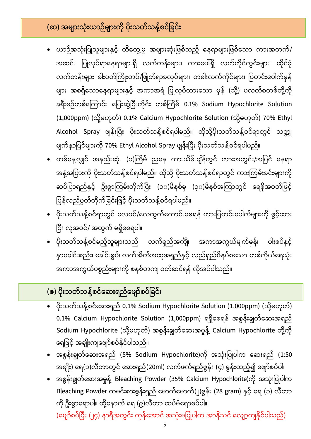## **( )**

- ယာဉ်အသုံးပြုသူများနှင့် ထိတွေ့မှု အများဆုံးဖြစ်သည့် နေရာများဖြစ်သော ကားအတက်/ အဆင်း ပြုလုပ်ရာနေရာများရှိ လက်တန်းများ၊ ကားပေါ်ရှိ လက်ကိုင်ကွင်းများ၊ ထိုင်ခုံ လက်တန်းများ ခါးပတ်ကြိုးတပ်/ဖြုတ်ရာခလုပ်များ၊ တံခါးလက်ကိုင်များ၊ ပြတင်းပေါက်မှန် များ အစရှိသောနေရာများနှင့် အကာအရံ ပြုလုပ်ထားသော မှန် (သို့) ပလတ်စတစ်တို့ကို ခရီးစဉ်တစ်ကြောင်း ပြေးဆွဲပြီးတိုင်း တစ်ကြိမ် 0.1% Sodium Hypochlorite Solution (1,000ppm) (သို့မဟုတ်) 0.1% Calcium Hypochlorite Solution (သို့မဟုတ်) 70% Ethyl Alcohol Spray ဖျန်းပြီး ပိုးသတ်သန့်စင်ရပါမည်။ ထိုသို့ပိုးသတ်သန့်စင်ရာတွင် သတ္တု မျက်နှာပြင်များကို 70% Ethyl Alcohol Spray ဖျန်းပြီး ပိုးသတ်သန့်စင်ရပါမည်။
- တစ်နေ့လျှင် အနည်းဆုံး (၁)ကြိမ် ညနေ ကားသိမ်းချိန်တွင် ကားအတွင်း/အပြင် နေရာ အနှံ့အပြားကို ပိုးသတ်သန့်စင်ရပါမည်။ ထိုသို့ ပိုးသတ်သန့်စင်ရာတွင် ကားကြမ်းခင်းများကို ဆပ်ပြာရည်နှင့် ဦးစွာကြမ်းတိုက်ပြီး (၁၀)မိနစ်မှ (၃၀)မိနစ်အကြာတွင် ရေစိုအဝတ်ဖြင့် ပြန်လည်ပွတ်တိုက်ခြင်းဖြင့် ပိုးသတ်သန့်စင်ရပါမည်။
- ပိုးသတ်သန့်စင်ရာတွင် လေဝင်/လေထွက်ကောင်းစေရန် ကားပြတင်းပေါက်များကို ဖွင့်ထား ပြီး လူအဝင်/ အထွက် မရှိစေရပါ။
- ပိုးသတ်သန့်စင်မည့်သူများသည် လက်ရှည်အင်္ကျီ၊ အကာအကွယ်မျက်မှန်၊ ပါးစပ်နှင့် နှာခေါင်းစည်း၊ ခေါင်းစွပ်၊ လက်အိတ်အထူအရှည်နှင့် လည်ရှည်ဖိနပ်စသော တစ်ကိုယ်ရေသုံး အကာအကွယ်ပစ္စည်းများကို စနစ်တကျ ဝတ်ဆင်ရန် လိုအပ်ပါသည်။

## **(ဇ) ြ ိုးသတ်သေ့်စင ်ေဆးရည်**

- $\bullet$  ပိုးသတ်သန့်စင်ဆေးရည် 0.1% Sodium Hypochlorite Solution (1,000ppm) (သို့မဟုတ်) 0.1% Calcium Hypochlorite Solution (1,000ppm) Sodium Hypochlorite (သို့မဟုတ်) အစွန်းချွတ်ဆေးအမှုန့် Calcium Hypochlorite တို့ကို ရေဖြင့် အချိုးကျဖျော်စပ်နိုင်ပါသည်။
- $\bullet$  အစွန်းချွတ်ဆေးအရည် (5% Sodium Hypochlorite)ကို အသုံးပြုပါက ဆေးရည် (1:50 အချိုး) ရေ(၁)လီတာတွင် ဆေးရည်(20ml) လက်ဖက်ရည်ဇွန်း (၄) ဇွန်းထည့်၍ ဖျော်စပ်ပါ။
- အစွန်းချွတ်ဆေးအမှုန့် Bleaching Powder (35% Calcium Hypochlorite)ကို အသုံးပြုပါက Bleaching Powder ထမင်းစားဇွန်းရှည် မောက်မောက်(၂)ဇွန်း (28 gram) နှင့် ရေ (၁) လီတာ ကို ဦးစွာရောပါ။ ထို့နောက် ရေ (၉)လီတာ ထပ်မံရောစပ်ပါ။ (ဖျော်စပ်ပြီး (၂၄) နာရီအတွင်း ကုန်အောင် အသုံးမပြုပါက အာနိသင် လျော့ကျနိုင်ပါသည်)